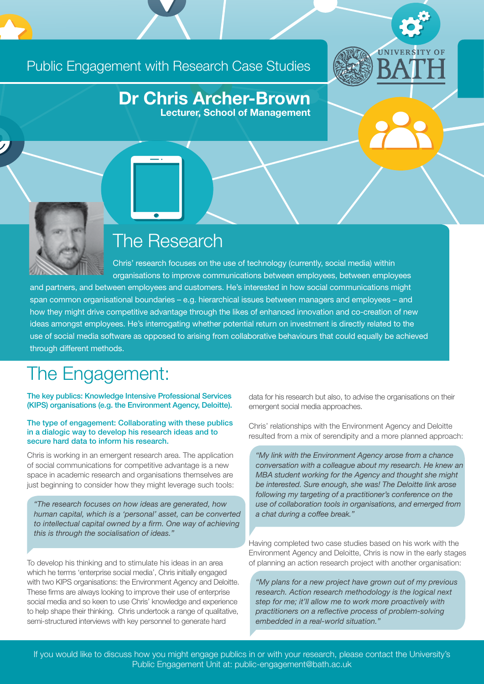## Public Engagement with Research Case Studies



### Dr Chris Archer-Brown Lecturer, School of Management

The Research

Chris' research focuses on the use of technology (currently, social media) within organisations to improve communications between employees, between employees and partners, and between employees and customers. He's interested in how social communications might span common organisational boundaries – e.g. hierarchical issues between managers and employees – and how they might drive competitive advantage through the likes of enhanced innovation and co-creation of new ideas amongst employees. He's interrogating whether potential return on investment is directly related to the use of social media software as opposed to arising from collaborative behaviours that could equally be achieved through different methods.

# The Engagement:

The key publics: Knowledge Intensive Professional Services (KIPS) organisations (e.g. the Environment Agency, Deloitte).

#### The type of engagement: Collaborating with these publics in a dialogic way to develop his research ideas and to secure hard data to inform his research.

Chris is working in an emergent research area. The application of social communications for competitive advantage is a new space in academic research and organisations themselves are just beginning to consider how they might leverage such tools:

*"The research focuses on how ideas are generated, how human capital, which is a 'personal' asset, can be converted to intellectual capital owned by a firm. One way of achieving this is through the socialisation of ideas."*

To develop his thinking and to stimulate his ideas in an area which he terms 'enterprise social media', Chris initially engaged with two KIPS organisations: the Environment Agency and Deloitte. These firms are always looking to improve their use of enterprise social media and so keen to use Chris' knowledge and experience to help shape their thinking. Chris undertook a range of qualitative, semi-structured interviews with key personnel to generate hard

data for his research but also, to advise the organisations on their emergent social media approaches.

Chris' relationships with the Environment Agency and Deloitte resulted from a mix of serendipity and a more planned approach:

*"My link with the Environment Agency arose from a chance conversation with a colleague about my research. He knew an MBA student working for the Agency and thought she might be interested. Sure enough, she was! The Deloitte link arose following my targeting of a practitioner's conference on the use of collaboration tools in organisations, and emerged from a chat during a coffee break."* 

Having completed two case studies based on his work with the Environment Agency and Deloitte, Chris is now in the early stages of planning an action research project with another organisation:

*"My plans for a new project have grown out of my previous research. Action research methodology is the logical next step for me; it'll allow me to work more proactively with practitioners on a reflective process of problem-solving embedded in a real-world situation."* 

If you would like to discuss how you might engage publics in or with your research, please contact the University's Public Engagement Unit at: public-engagement@bath.ac.uk